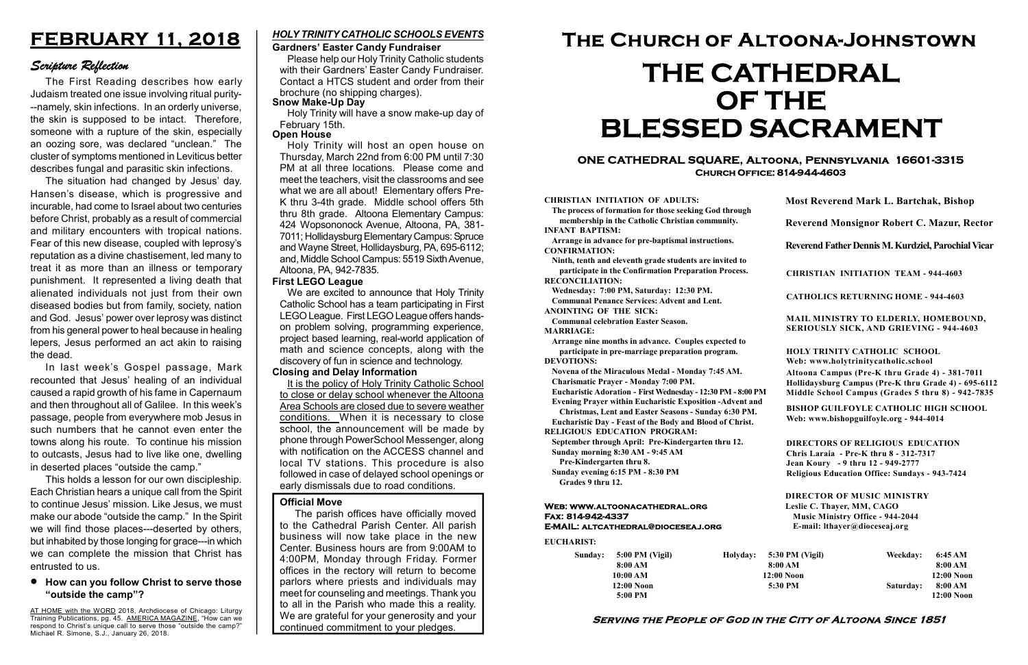#### Serving the People of God in the City of Altoona Since 1851

Sunday: 5:00 PM (Vigil) 8:00 AM 10:00 AM 12:00 Noon 5:00 PM

Holyday:

#### Web: www.altoonacathedral.org Fax: 814-942-4337 E-MAIL: altcathedral@dioceseaj.org

EUCHARIST:

#### CHRISTIAN INITIATION OF ADULTS:

The process of formation for those seeking God through membership in the Catholic Christian community. INFANT BAPTISM:

Arrange in advance for pre-baptismal instructions. CONFIRMATION:

Ninth, tenth and eleventh grade students are invited to participate in the Confirmation Preparation Process. RECONCILIATION:

Wednesday: 7:00 PM, Saturday: 12:30 PM. Communal Penance Services: Advent and Lent.

ANOINTING OF THE SICK:

Communal celebration Easter Season. MARRIAGE:

Arrange nine months in advance. Couples expected to participate in pre-marriage preparation program. DEVOTIONS:

Novena of the Miraculous Medal - Monday 7:45 AM.

Charismatic Prayer - Monday 7:00 PM. Eucharistic Adoration - First Wednesday - 12:30 PM - 8:00 PM

Evening Prayer within Eucharistic Exposition -Advent and

Christmas, Lent and Easter Seasons - Sunday 6:30 PM.

|                       | <b>Most Reverend Mark L. Bartchak, Bishop</b><br>Reverend Monsignor Robert C. Mazur, Rector                                                                                     |           |                         |
|-----------------------|---------------------------------------------------------------------------------------------------------------------------------------------------------------------------------|-----------|-------------------------|
|                       |                                                                                                                                                                                 |           |                         |
|                       | Reverend Father Dennis M. Kurdziel, Parochial Vicar                                                                                                                             |           |                         |
|                       | <b>CHRISTIAN INITIATION TEAM - 944-4603</b>                                                                                                                                     |           |                         |
|                       | <b>CATHOLICS RETURNING HOME - 944-4603</b>                                                                                                                                      |           |                         |
|                       | MAIL MINISTRY TO ELDERLY, HOMEBOUND,<br>SERIOUSLY SICK, AND GRIEVING - 944-4603                                                                                                 |           |                         |
|                       | <b>HOLY TRINITY CATHOLIC SCHOOL</b><br>Web: www.holytrinitycatholic.school                                                                                                      |           |                         |
| М                     | Altoona Campus (Pre-K thru Grade 4) - 381-7011<br>Hollidaysburg Campus (Pre-K thru Grade 4) - 695-6112<br>Middle School Campus (Grades 5 thru 8) - 942-7835                     |           |                         |
| ł                     | <b>BISHOP GUILFOYLE CATHOLIC HIGH SCHOOL</b><br>Web: www.bishopguilfoyle.org - 944-4014                                                                                         |           |                         |
|                       | <b>DIRECTORS OF RELIGIOUS EDUCATION</b><br>Chris Laraia - Pre-K thru 8 - 312-7317<br>Jean Koury - 9 thru 12 - 949-2777<br><b>Religious Education Office: Sundays - 943-7424</b> |           |                         |
|                       | <b>DIRECTOR OF MUSIC MINISTRY</b><br>Leslie C. Thayer, MM, CAGO<br><b>Music Ministry Office - 944-2044</b><br>E-mail: lthayer@dioceseaj.org                                     |           |                         |
| 5:30 PM (Vigil)       |                                                                                                                                                                                 | Weekday:  | 6:45 AM                 |
| 8:00 AM<br>12:00 Noon |                                                                                                                                                                                 |           | 8:00 AM<br>12:00 Noon   |
| 5:30 PM               |                                                                                                                                                                                 | Saturday: | 8:00 AM<br>$12:00$ Noon |
|                       |                                                                                                                                                                                 |           |                         |

Eucharistic Day - Feast of the Body and Blood of Christ.

RELIGIOUS EDUCATION PROGRAM:

September through April: Pre-Kindergarten thru 12. Sunday morning 8:30 AM - 9:45 AM

Pre-Kindergarten thru 8.

Sunday evening 6:15 PM - 8:30 PM Grades 9 thru 12.

#### ONE CATHEDRAL SQUARE, Altoona, Pennsylvania 16601-3315 Church Office: 814-944-4603

# The Church of Altoona-Johnstown THE CATHEDRAL OF THE BLESSED SACRAMENT

#### Official Move

AT HOME with the WORD 2018, Archdiocese of Chicago: Liturgy Training Publications, pg. 45. AMERICA MAGAZINE, "How can we respond to Christ's unique call to serve those "outside the camp?" Michael R. Simone, S.J., January 26, 2018.

The parish offices have officially moved to the Cathedral Parish Center. All parish business will now take place in the new Center. Business hours are from 9:00AM to 4:00PM, Monday through Friday. Former offices in the rectory will return to become parlors where priests and individuals may meet for counseling and meetings. Thank you to all in the Parish who made this a reality. We are grateful for your generosity and your continued commitment to your pledges.

## FEBRUARY 11, 2018

### Scripture Reflection

The First Reading describes how early Judaism treated one issue involving ritual purity- --namely, skin infections. In an orderly universe, the skin is supposed to be intact. Therefore, someone with a rupture of the skin, especially an oozing sore, was declared "unclean." The cluster of symptoms mentioned in Leviticus better describes fungal and parasitic skin infections.

The situation had changed by Jesus' day. Hansen's disease, which is progressive and incurable, had come to Israel about two centuries before Christ, probably as a result of commercial and military encounters with tropical nations. Fear of this new disease, coupled with leprosy's reputation as a divine chastisement, led many to treat it as more than an illness or temporary punishment. It represented a living death that alienated individuals not just from their own diseased bodies but from family, society, nation and God. Jesus' power over leprosy was distinct from his general power to heal because in healing lepers, Jesus performed an act akin to raising the dead.

In last week's Gospel passage, Mark recounted that Jesus' healing of an individual caused a rapid growth of his fame in Capernaum and then throughout all of Galilee. In this week's passage, people from everywhere mob Jesus in such numbers that he cannot even enter the towns along his route. To continue his mission to outcasts, Jesus had to live like one, dwelling in deserted places "outside the camp."

This holds a lesson for our own discipleship. Each Christian hears a unique call from the Spirit to continue Jesus' mission. Like Jesus, we must make our abode "outside the camp." In the Spirit we will find those places---deserted by others, but inhabited by those longing for grace---in which we can complete the mission that Christ has entrusted to us.

#### How can you follow Christ to serve those "outside the camp"?

#### Gardners' Easter Candy Fundraiser

Please help our Holy Trinity Catholic students with their Gardners' Easter Candy Fundraiser. Contact a HTCS student and order from their brochure (no shipping charges).

#### HOLY TRINITY CATHOLIC SCHOOLS EVENTS

#### Snow Make-Up Day

Holy Trinity will have a snow make-up day of February 15th.

#### **Open House**

Holy Trinity will host an open house on Thursday, March 22nd from 6:00 PM until 7:30 PM at all three locations. Please come and meet the teachers, visit the classrooms and see what we are all about! Elementary offers Pre-K thru 3-4th grade. Middle school offers 5th thru 8th grade. Altoona Elementary Campus: 424 Wopsononock Avenue, Altoona, PA, 381- 7011; Hollidaysburg Elementary Campus: Spruce and Wayne Street, Hollidaysburg, PA, 695-6112; and, Middle School Campus: 5519 Sixth Avenue, Altoona, PA, 942-7835.

#### First LEGO League

We are excited to announce that Holy Trinity Catholic School has a team participating in First LEGO League. First LEGO League offers handson problem solving, programming experience, project based learning, real-world application of math and science concepts, along with the discovery of fun in science and technology.

#### Closing and Delay Information

It is the policy of Holy Trinity Catholic School to close or delay school whenever the Altoona Area Schools are closed due to severe weather conditions. When it is necessary to close school, the announcement will be made by phone through PowerSchool Messenger, along with notification on the ACCESS channel and local TV stations. This procedure is also followed in case of delayed school openings or early dismissals due to road conditions.